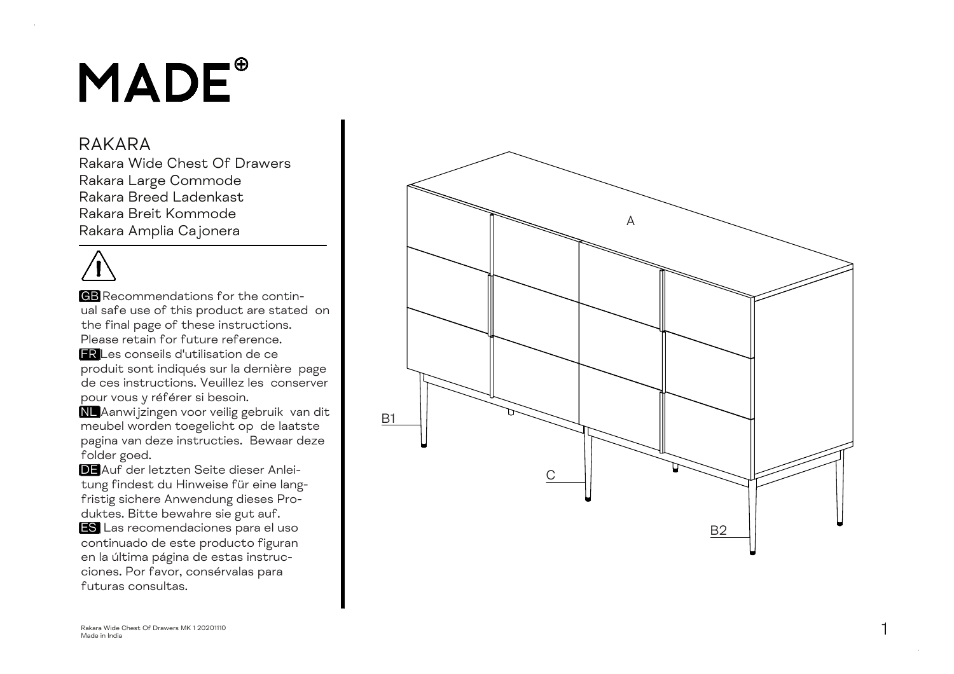## MADE<sup>®</sup>

## RAKARA

Rakara Wide Chest Of Drawers Rakara Large Commode Rakara Breed Ladenkast Rakara Breit Kommode Rakara Amplia Cajonera

GB Recommendations for the continual safe use of this product are stated on the final page of these instructions. Please retain for future reference. **FR** Les conseils d'utilisation de ce produit sont indiqués sur la dernière page de ces instructions. Veuillez les conserver pour vous y référer si besoin.

NL Aanwijzingen voor veilig gebruik van dit meubel worden toegelicht op de laatste pagina van deze instructies. Bewaar deze folder goed.

DE Auf der letzten Seite dieser Anleitung findest du Hinweise für eine langfristig sichere Anwendung dieses Produktes. Bitte bewahre sie gut auf.

ES Las recomendaciones para el uso continuado de este producto figuran en la última página de estas instrucciones. Por favor, consérvalas para futuras consultas.

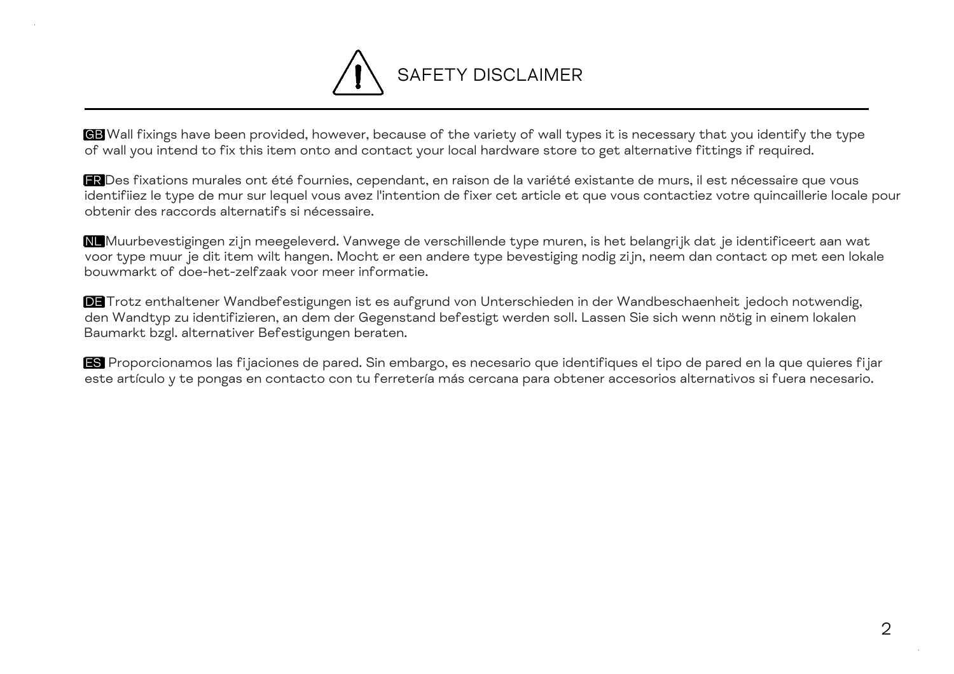

GB Wall fixings have been provided, however, because of the variety of wall types it is necessary that you identify the type of wall you intend to fix this item onto and contact your local hardware store to get alternative fittings if required.

FR Des fixations murales ont été fournies, cependant, en raison de la variété existante de murs, il est nécessaire que vous identifiiez le type de mur sur lequel vous avez l'intention de fixer cet article et que vous contactiez votre quincaillerie locale pour obtenir des raccords alternatifs si nécessaire.

NL Muurbevestigingen zijn meegeleverd. Vanwege de verschillende type muren, is het belangrijk dat je identificeert aan wat voor type muur je dit item wilt hangen. Mocht er een andere type bevestiging nodig zijn, neem dan contact op met een lokale bouwmarkt of doe-het-zelfzaak voor meer informatie.

DE Trotz enthaltener Wandbefestigungen ist es aufgrund von Unterschieden in der Wandbeschaenheit jedoch notwendig, den Wandtyp zu identifizieren, an dem der Gegenstand befestigt werden soll. Lassen Sie sich wenn nötig in einem lokalen Baumarkt bzgl. alternativer Befestigungen beraten.

ES Proporcionamos las fijaciones de pared. Sin embargo, es necesario que identifiques el tipo de pared en la que quieres fijar este artículo y te pongas en contacto con tu ferretería más cercana para obtener accesorios alternativos si fuera necesario.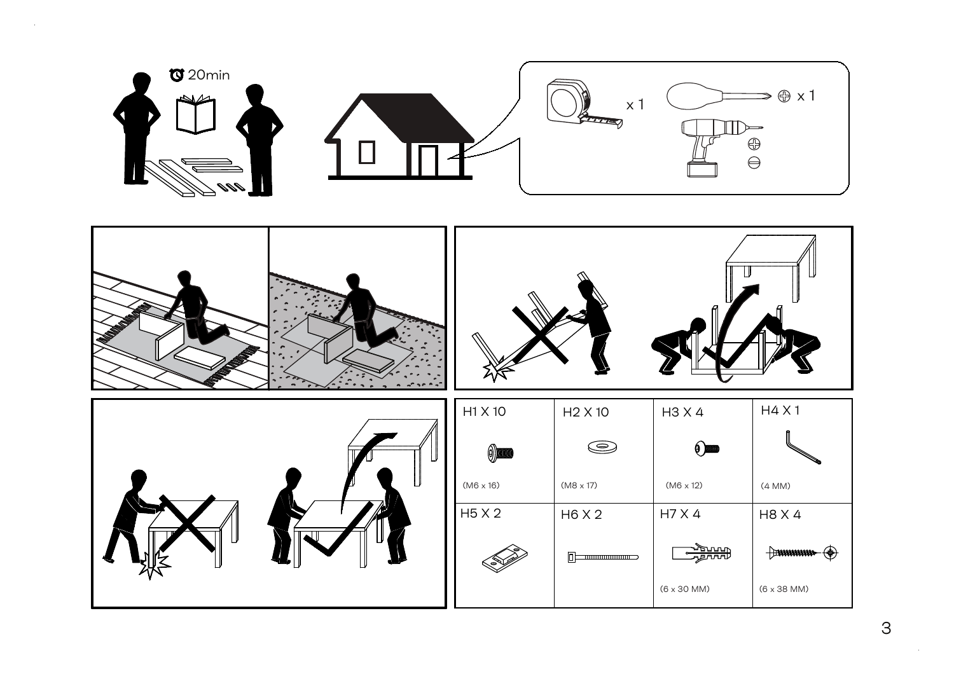

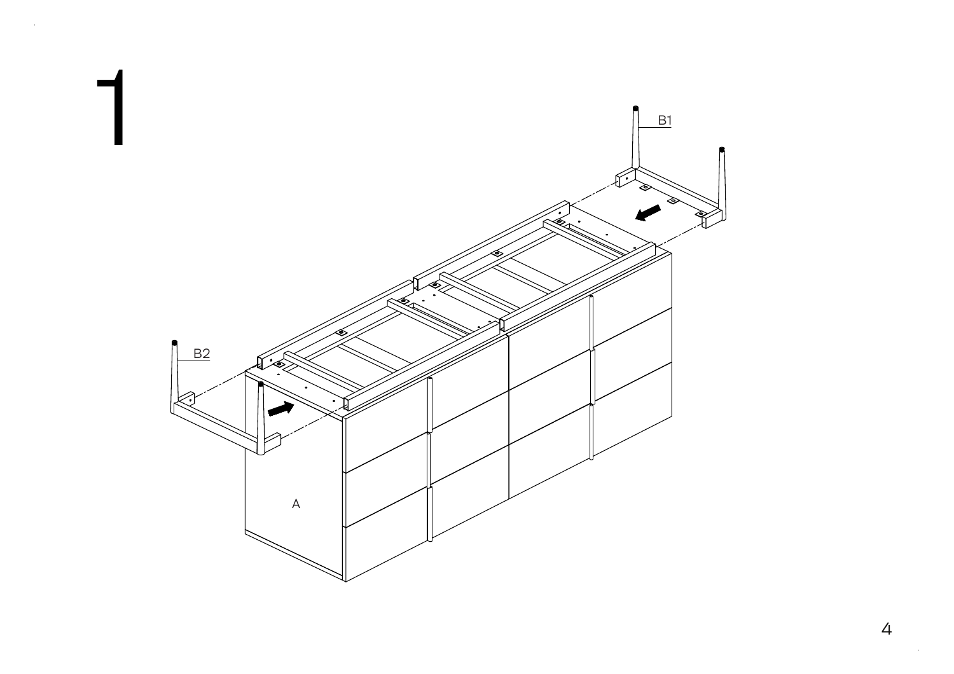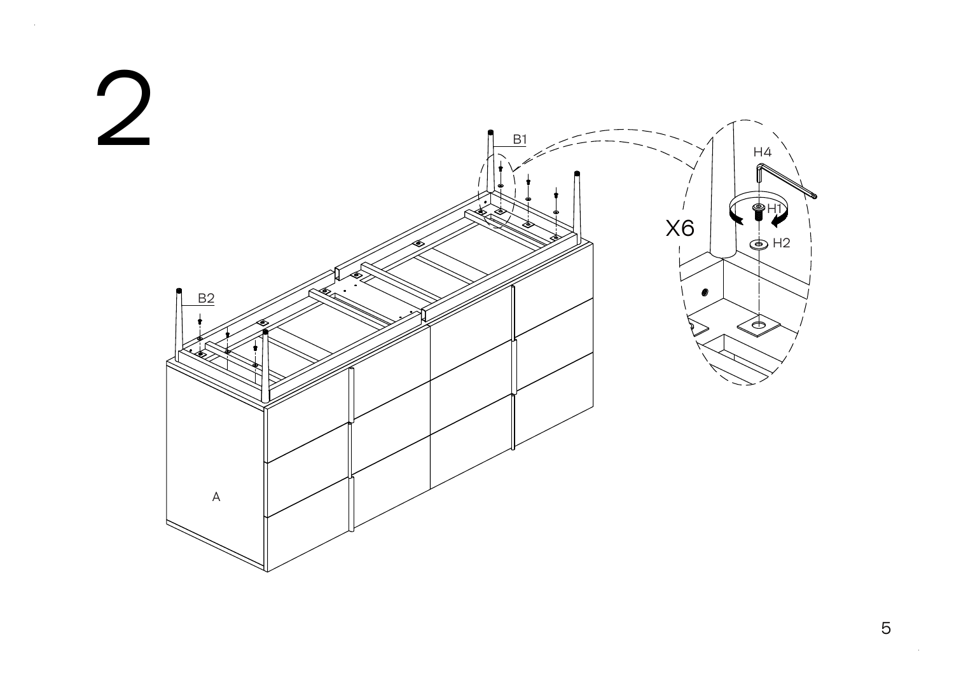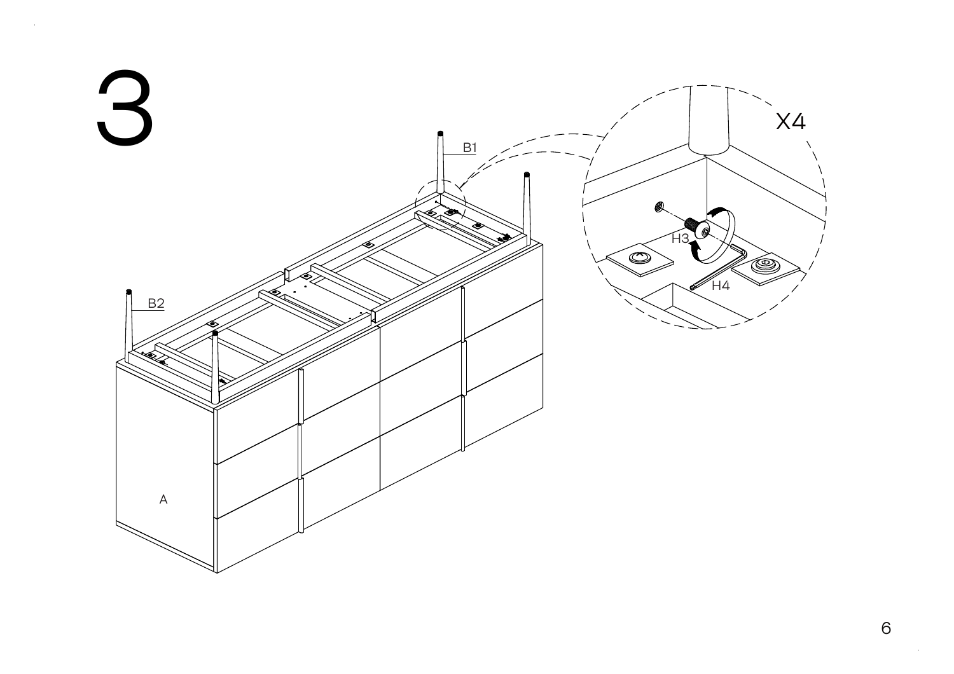

 $\mathbf 6$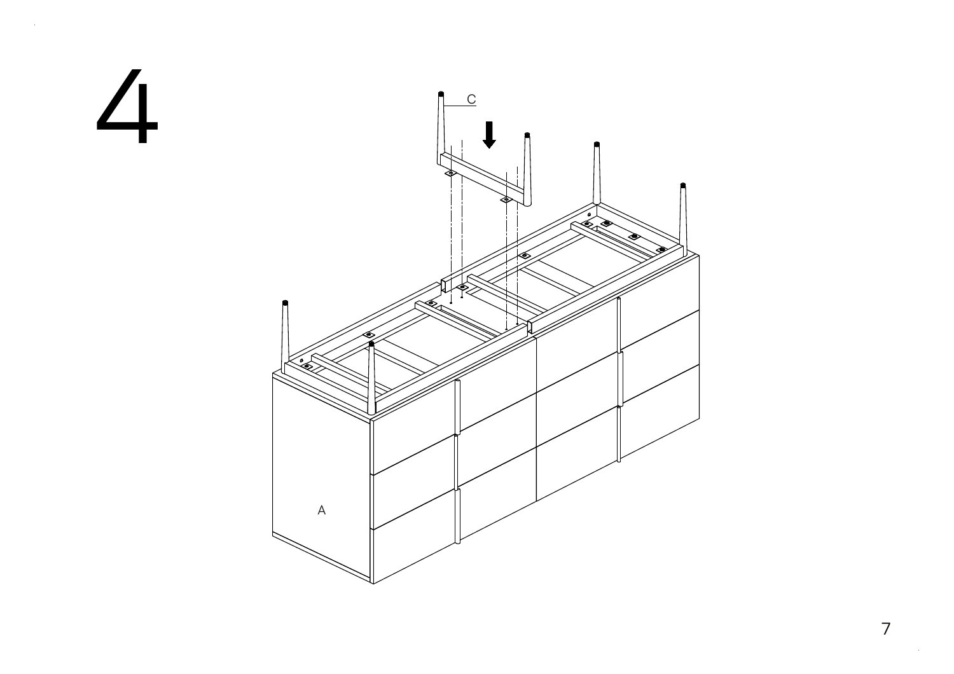

 $\overline{7}$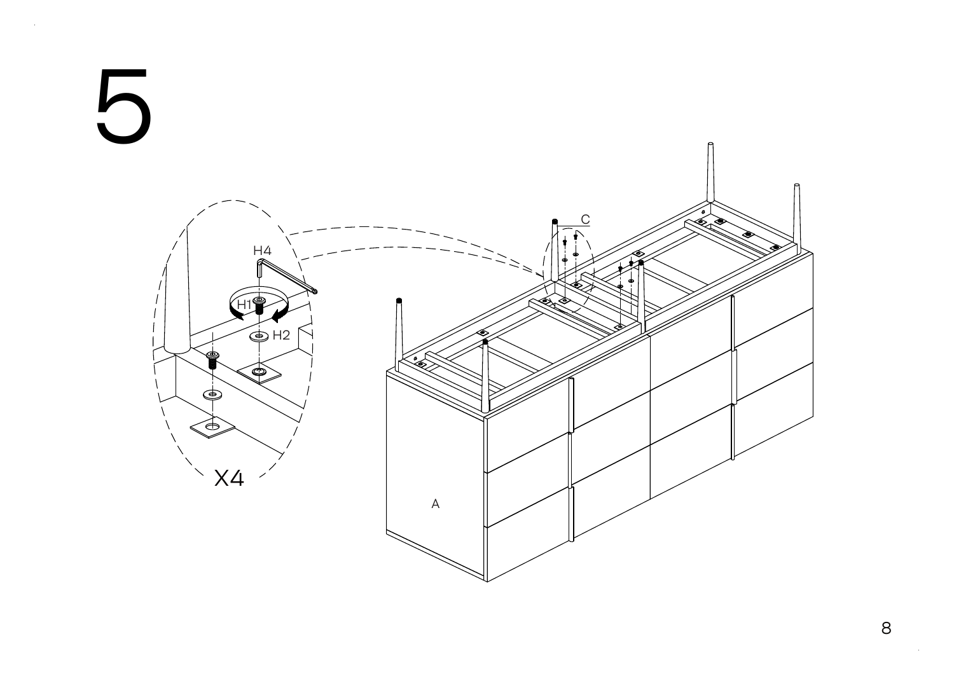

 $\mathbf{8}$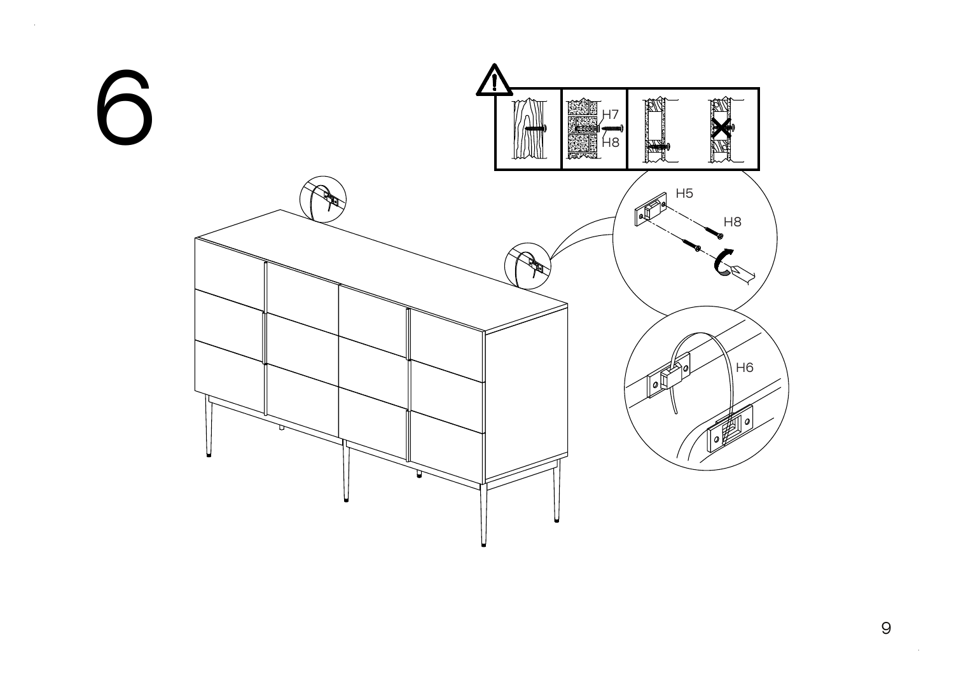